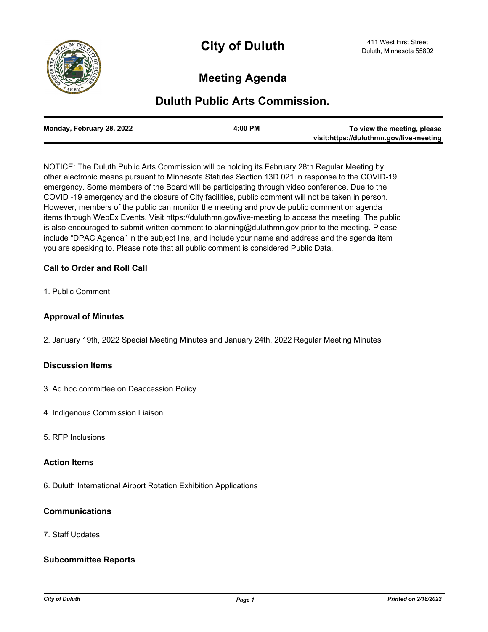

# **Meeting Agenda**

## **Duluth Public Arts Commission.**

| Monday, February 28, 2022 | $4:00$ PM | To view the meeting, please             |
|---------------------------|-----------|-----------------------------------------|
|                           |           | visit:https://duluthmn.gov/live-meeting |

NOTICE: The Duluth Public Arts Commission will be holding its February 28th Regular Meeting by other electronic means pursuant to Minnesota Statutes Section 13D.021 in response to the COVID-19 emergency. Some members of the Board will be participating through video conference. Due to the COVID -19 emergency and the closure of City facilities, public comment will not be taken in person. However, members of the public can monitor the meeting and provide public comment on agenda items through WebEx Events. Visit https://duluthmn.gov/live-meeting to access the meeting. The public is also encouraged to submit written comment to planning@duluthmn.gov prior to the meeting. Please include "DPAC Agenda" in the subject line, and include your name and address and the agenda item you are speaking to. Please note that all public comment is considered Public Data.

## **Call to Order and Roll Call**

1. Public Comment

### **Approval of Minutes**

2. January 19th, 2022 Special Meeting Minutes and January 24th, 2022 Regular Meeting Minutes

#### **Discussion Items**

- 3. Ad hoc committee on Deaccession Policy
- 4. Indigenous Commission Liaison
- 5. RFP Inclusions

#### **Action Items**

6. Duluth International Airport Rotation Exhibition Applications

## **Communications**

7. Staff Updates

## **Subcommittee Reports**